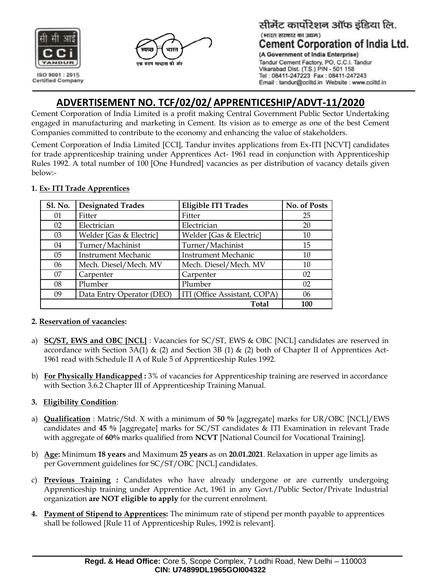



#### सीमेंट कार्पोरेशन ऑफ इंडिया लि. (भारत सरकार का उद्यम) **Cement Corporation of India Ltd.** (A Government of India Enterprise) Tandur Cement Factory, PO, C.C.I. Tandur Vikarabad Dist. (T.S.) PIN - 501 158 Tel: 08411-247223 Fax: 08411-247243

Email : tandur@cciltd.in Website : www.cciltd.in

**ADVERTISEMENT NO. TCF/02/02/ APPRENTICESHIP/ADVT-11/2020**

Cement Corporation of India Limited is a profit making Central Government Public Sector Undertaking engaged in manufacturing and marketing in Cement. Its vision as to emerge as one of the best Cement Companies committed to contribute to the economy and enhancing the value of stakeholders.

Cement Corporation of India Limited [CCI], Tandur invites applications from Ex-ITI [NCVT] candidates for trade apprenticeship training under Apprentices Act- 1961 read in conjunction with Apprenticeship Rules 1992. A total number of 100 [One Hundred] vacancies as per distribution of vacancy details given below:-

| <b>Sl. No.</b> | <b>Designated Trades</b>   | <b>Eligible ITI Trades</b>   | No. of Posts |
|----------------|----------------------------|------------------------------|--------------|
| 01             | Fitter                     | Fitter                       | 25           |
| 02             | Electrician                | Electrician                  | 20           |
| 03             | Welder [Gas & Electric]    | Welder [Gas & Electric]      | 10           |
| 04             | Turner/Machinist           | Turner/Machinist             | 15           |
| 05             | <b>Instrument Mechanic</b> | <b>Instrument Mechanic</b>   | 10           |
| 06             | Mech. Diesel/Mech. MV      | Mech. Diesel/Mech. MV        | 10           |
| 07             | Carpenter                  | Carpenter                    | 02           |
| 08             | Plumber                    | Plumber                      | 02           |
| 09             | Data Entry Operator (DEO)  | ITI (Office Assistant, COPA) | 06           |
|                |                            | Total                        | 100          |

#### **1. Ex- ITI Trade Apprentices**

#### **2. Reservation of vacancies:**

- a) **SC/ST, EWS and OBC [NCL]** : Vacancies for SC/ST, EWS & OBC [NCL] candidates are reserved in accordance with Section 3A(1)  $\&$  (2) and Section 3B (1)  $\&$  (2) both of Chapter II of Apprentices Act-1961 read with Schedule II A of Rule 5 of Apprenticeship Rules 1992.
- b) **For Physically Handicapped :** 3% of vacancies for Apprenticeship training are reserved in accordance with Section 3.6.2 Chapter III of Apprenticeship Training Manual.

### **3. Eligibility Condition**:

- a) **Qualification** : Matric/Std. X with a minimum of **50 %** [aggregate] marks for UR/OBC [NCL]/EWS candidates and **45 %** [aggregate] marks for SC/ST candidates & ITI Examination in relevant Trade with aggregate of **60%** marks qualified from **NCVT** [National Council for Vocational Training].
- b) **Age:** Minimum **18 years** and Maximum **25 years** as on **20.01.2021**. Relaxation in upper age limits as per Government guidelines for SC/ST/OBC [NCL] candidates.
- c) **Previous Training :** Candidates who have already undergone or are currently undergoing Apprenticeship training under Apprentice Act, 1961 in any Govt./Public Sector/Private Industrial organization **are NOT eligible to apply** for the current enrolment.
- **4. Payment of Stipend to Apprentices:** The minimum rate of stipend per month payable to apprentices shall be followed [Rule 11 of Apprenticeship Rules, 1992 is relevant].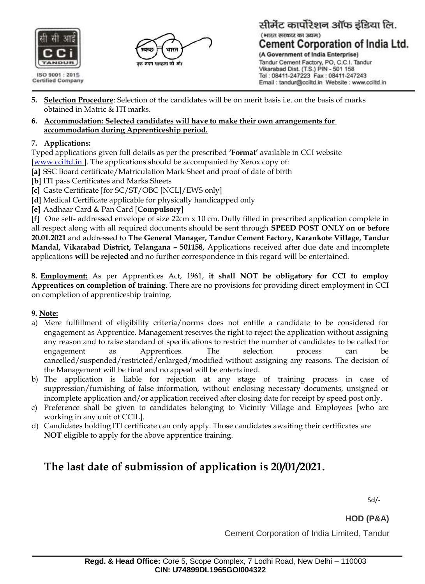



#### सीमेंट कार्पोरेशन ऑफ इंडिया लि. (भारत सरकार का उद्यम) **Cement Corporation of India Ltd.** (A Government of India Enterprise)

Tandur Cement Factory, PO, C.C.I. Tandur Vikarabad Dist. (T.S.) PIN - 501 158 Tel: 08411-247223 Fax: 08411-247243 Email : tandur@cciltd.in Website : www.cciltd.in

- **5. Selection Procedure**: Selection of the candidates will be on merit basis i.e. on the basis of marks obtained in Matric & ITI marks.
- **6. Accommodation: Selected candidates will have to make their own arrangements for accommodation during Apprenticeship period.**

### **7. Applications:**

Typed applications given full details as per the prescribed **'Format'** available in CCI website [\[www.cciltd.in \]](http://www.uraniumcorp.in/). The applications should be accompanied by Xerox copy of:

- **[a]** SSC Board certificate/Matriculation Mark Sheet and proof of date of birth
- **[b]** ITI pass Certificates and Marks Sheets
- **[c]** Caste Certificate [for SC/ST/OBC [NCL]/EWS only]
- **[d]** Medical Certificate applicable for physically handicapped only
- **[e]** Aadhaar Card & Pan Card [**Compulsory**]

**[f]** One self- addressed envelope of size 22cm x 10 cm. Dully filled in prescribed application complete in

all respect along with all required documents should be sent through **SPEED POST ONLY on or before 20.01.2021** and addressed to **The General Manager, Tandur Cement Factory, Karankote Village, Tandur Mandal, Vikarabad District, Telangana – 501158,** Applications received after due date and incomplete applications **will be rejected** and no further correspondence in this regard will be entertained.

**8. Employment:** As per Apprentices Act, 1961, **it shall NOT be obligatory for CCI to employ Apprentices on completion of training**. There are no provisions for providing direct employment in CCI on completion of apprenticeship training.

### **9. Note:**

- a) Mere fulfillment of eligibility criteria/norms does not entitle a candidate to be considered for engagement as Apprentice. Management reserves the right to reject the application without assigning any reason and to raise standard of specifications to restrict the number of candidates to be called for engagement as Apprentices. The selection process can be cancelled/suspended/restricted/enlarged/modified without assigning any reasons. The decision of the Management will be final and no appeal will be entertained.
- b) The application is liable for rejection at any stage of training process in case of suppression/furnishing of false information, without enclosing necessary documents, unsigned or incomplete application and/or application received after closing date for receipt by speed post only.
- c) Preference shall be given to candidates belonging to Vicinity Village and Employees [who are working in any unit of CCIL].
- d) Candidates holding ITI certificate can only apply. Those candidates awaiting their certificates are **NOT** eligible to apply for the above apprentice training.

# **The last date of submission of application is 20/01/2021.**

Sd/-

**HOD (P&A)**

Cement Corporation of India Limited, Tandur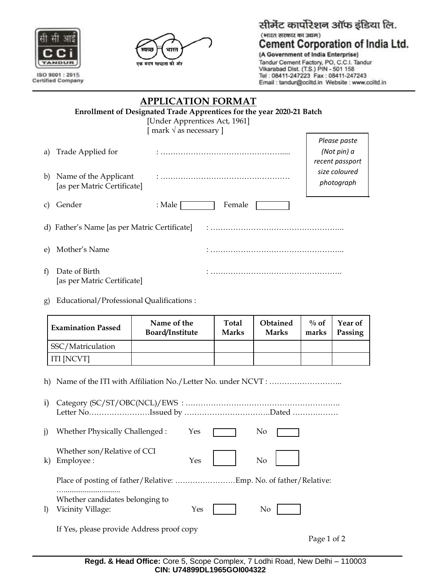

**Certified Company** 



# सीमेंट कार्पोरेशन ऑफ इंडिया लि. (भारत सरकार का उद्यम) **Cement Corporation of India Ltd.**

(A Government of India Enterprise) Tandur Cement Factory, PO, C.C.I. Tandur Vikarabad Dist. (T.S.) PIN - 501 158 Tel: 08411-247223 Fax: 08411-247243 Email : tandur@cciltd.in Website : www.cciltd.in

| <b>APPLICATION FORMAT</b>                    |                                                                       |                                  |                                                |  |  |  |  |
|----------------------------------------------|-----------------------------------------------------------------------|----------------------------------|------------------------------------------------|--|--|--|--|
|                                              | Enrollment of Designated Trade Apprentices for the year 2020-21 Batch |                                  |                                                |  |  |  |  |
|                                              | [Under Apprentices Act, 1961]                                         |                                  |                                                |  |  |  |  |
|                                              |                                                                       | [ mark $\sqrt{ }$ as necessary ] |                                                |  |  |  |  |
| a)                                           | Trade Applied for                                                     |                                  | Please paste<br>(Not pin) a<br>recent passport |  |  |  |  |
| b)                                           | Name of the Applicant<br>[as per Matric Certificate]                  |                                  | size coloured<br>photograph                    |  |  |  |  |
| C)                                           | Gender                                                                | Female<br>: Male                 |                                                |  |  |  |  |
| d) Father's Name [as per Matric Certificate] |                                                                       |                                  |                                                |  |  |  |  |
| e)                                           | Mother's Name                                                         |                                  |                                                |  |  |  |  |
| $\mathbf{f}$                                 | Date of Birth<br>[as per Matric Certificate]                          |                                  |                                                |  |  |  |  |

g) Educational/Professional Qualifications :

| <b>Examination Passed</b> | Name of the<br>Board/Institute | <b>Total</b><br><b>Marks</b> | Obtained<br><b>Marks</b> | $\%$ of<br>marks | Year of<br>Passing |
|---------------------------|--------------------------------|------------------------------|--------------------------|------------------|--------------------|
| SSC/Matriculation         |                                |                              |                          |                  |                    |
| ITI [NCVT]                |                                |                              |                          |                  |                    |

h) Name of the ITI with Affiliation No./Letter No. under NCVT : …………………………………………

i) Category (SC/ST/OBC(NCL)/EWS : ……………………………………………………. Letter No……………………Issued by …………………………….Dated ……………… j) Whether Physically Challenged :  $Yes$   $\Box$  No k) Employee : No Whether son/Relative of CCI Place of posting of father/Relative: ……………………Emp. No. of father/Relative: ….............................. l) Vicinity Village:  $Yes$  | | No Whether candidates belonging to If Yes, please provide Address proof copy

Page 1 of 2